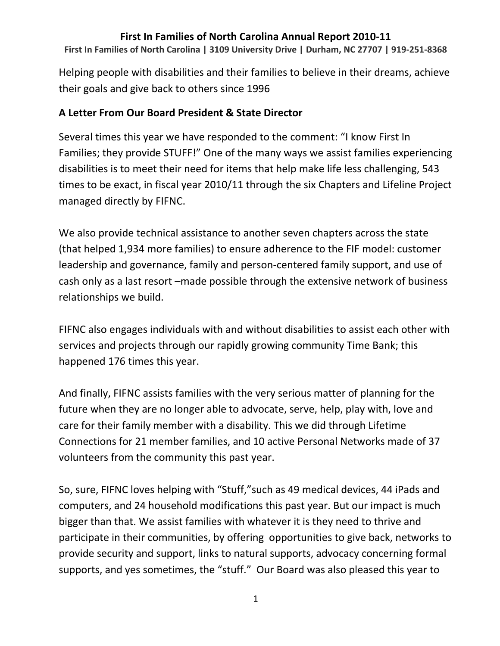**First In Families of North Carolina | 3109 University Drive | Durham, NC 27707 | 919-251-8368**

Helping people with disabilities and their families to believe in their dreams, achieve their goals and give back to others since 1996

## **A Letter From Our Board President & State Director**

Several times this year we have responded to the comment: "I know First In Families; they provide STUFF!" One of the many ways we assist families experiencing disabilities is to meet their need for items that help make life less challenging, 543 times to be exact, in fiscal year 2010/11 through the six Chapters and Lifeline Project managed directly by FIFNC.

We also provide technical assistance to another seven chapters across the state (that helped 1,934 more families) to ensure adherence to the FIF model: customer leadership and governance, family and person-centered family support, and use of cash only as a last resort –made possible through the extensive network of business relationships we build.

FIFNC also engages individuals with and without disabilities to assist each other with services and projects through our rapidly growing community Time Bank; this happened 176 times this year.

And finally, FIFNC assists families with the very serious matter of planning for the future when they are no longer able to advocate, serve, help, play with, love and care for their family member with a disability. This we did through Lifetime Connections for 21 member families, and 10 active Personal Networks made of 37 volunteers from the community this past year.

So, sure, FIFNC loves helping with "Stuff,"such as 49 medical devices, 44 iPads and computers, and 24 household modifications this past year. But our impact is much bigger than that. We assist families with whatever it is they need to thrive and participate in their communities, by offering opportunities to give back, networks to provide security and support, links to natural supports, advocacy concerning formal supports, and yes sometimes, the "stuff." Our Board was also pleased this year to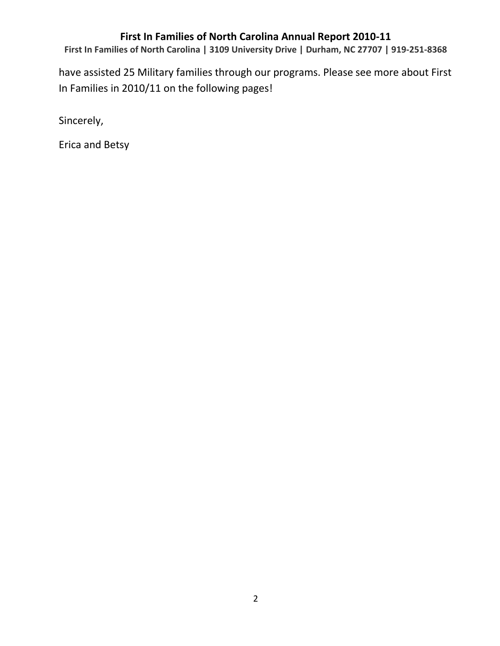**First In Families of North Carolina | 3109 University Drive | Durham, NC 27707 | 919-251-8368**

have assisted 25 Military families through our programs. Please see more about First In Families in 2010/11 on the following pages!

Sincerely,

Erica and Betsy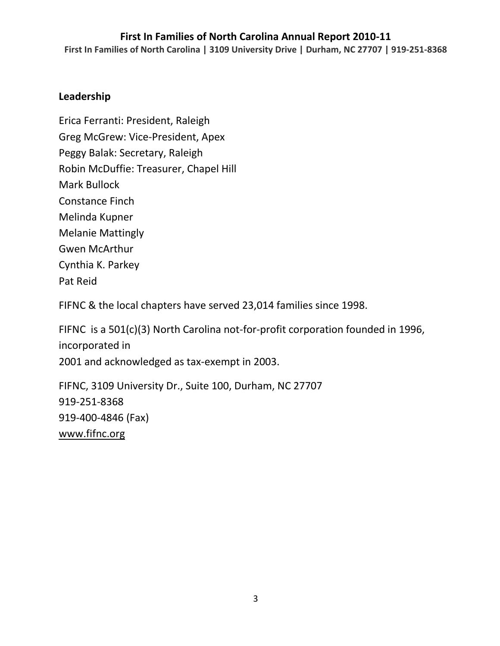**First In Families of North Carolina | 3109 University Drive | Durham, NC 27707 | 919-251-8368**

### **Leadership**

Erica Ferranti: President, Raleigh Greg McGrew: Vice-President, Apex Peggy Balak: Secretary, Raleigh Robin McDuffie: Treasurer, Chapel Hill Mark Bullock Constance Finch Melinda Kupner Melanie Mattingly Gwen McArthur Cynthia K. Parkey Pat Reid

FIFNC & the local chapters have served 23,014 families since 1998.

FIFNC is a 501(c)(3) North Carolina not-for-profit corporation founded in 1996, incorporated in 2001 and acknowledged as tax-exempt in 2003.

FIFNC, 3109 University Dr., Suite 100, Durham, NC 27707 919-251-8368 919-400-4846 (Fax) [www.fifnc.org](http://www.fifnc.org/)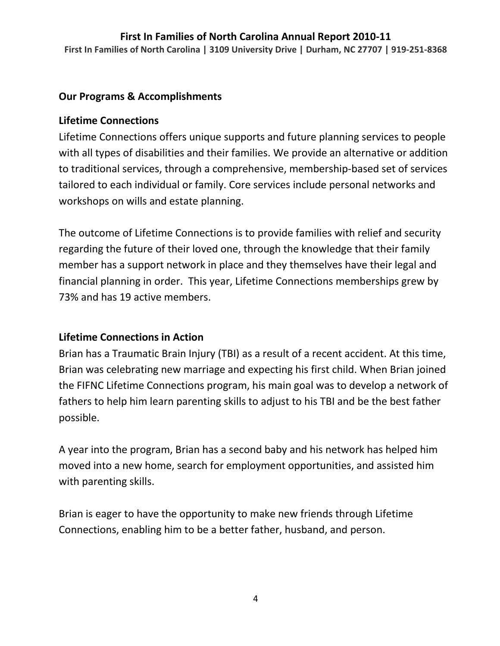**First In Families of North Carolina | 3109 University Drive | Durham, NC 27707 | 919-251-8368**

### **Our Programs & Accomplishments**

#### **Lifetime Connections**

Lifetime Connections offers unique supports and future planning services to people with all types of disabilities and their families. We provide an alternative or addition to traditional services, through a comprehensive, membership-based set of services tailored to each individual or family. Core services include personal networks and workshops on wills and estate planning.

The outcome of Lifetime Connections is to provide families with relief and security regarding the future of their loved one, through the knowledge that their family member has a support network in place and they themselves have their legal and financial planning in order. This year, Lifetime Connections memberships grew by 73% and has 19 active members.

## **Lifetime Connections in Action**

Brian has a Traumatic Brain Injury (TBI) as a result of a recent accident. At this time, Brian was celebrating new marriage and expecting his first child. When Brian joined the FIFNC Lifetime Connections program, his main goal was to develop a network of fathers to help him learn parenting skills to adjust to his TBI and be the best father possible.

A year into the program, Brian has a second baby and his network has helped him moved into a new home, search for employment opportunities, and assisted him with parenting skills.

Brian is eager to have the opportunity to make new friends through Lifetime Connections, enabling him to be a better father, husband, and person.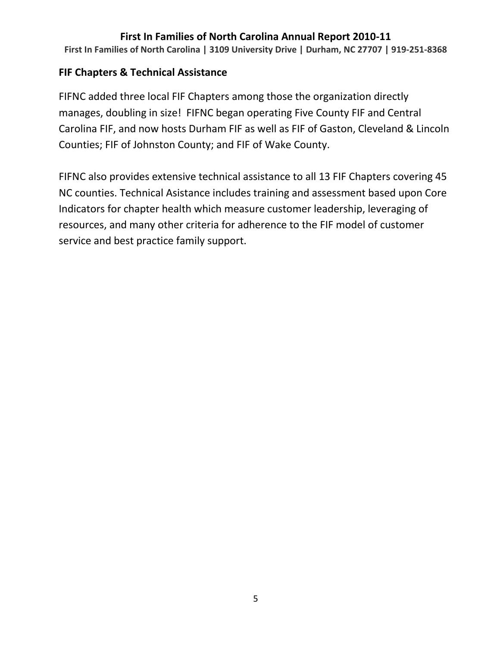**First In Families of North Carolina | 3109 University Drive | Durham, NC 27707 | 919-251-8368**

### **FIF Chapters & Technical Assistance**

FIFNC added three local FIF Chapters among those the organization directly manages, doubling in size! FIFNC began operating Five County FIF and Central Carolina FIF, and now hosts Durham FIF as well as FIF of Gaston, Cleveland & Lincoln Counties; FIF of Johnston County; and FIF of Wake County.

FIFNC also provides extensive technical assistance to all 13 FIF Chapters covering 45 NC counties. Technical Asistance includes training and assessment based upon Core Indicators for chapter health which measure customer leadership, leveraging of resources, and many other criteria for adherence to the FIF model of customer service and best practice family support.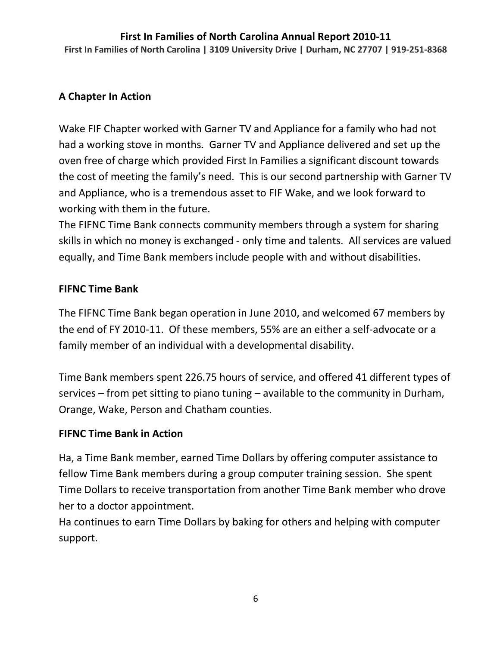#### **First In Families of North Carolina Annual Report 2010-11 First In Families of North Carolina | 3109 University Drive | Durham, NC 27707 | 919-251-8368**

## **A Chapter In Action**

Wake FIF Chapter worked with Garner TV and Appliance for a family who had not had a working stove in months. Garner TV and Appliance delivered and set up the oven free of charge which provided First In Families a significant discount towards the cost of meeting the family's need. This is our second partnership with Garner TV and Appliance, who is a tremendous asset to FIF Wake, and we look forward to working with them in the future.

The FIFNC Time Bank connects community members through a system for sharing skills in which no money is exchanged - only time and talents. All services are valued equally, and Time Bank members include people with and without disabilities.

#### **FIFNC Time Bank**

The FIFNC Time Bank began operation in June 2010, and welcomed 67 members by the end of FY 2010-11. Of these members, 55% are an either a self-advocate or a family member of an individual with a developmental disability.

Time Bank members spent 226.75 hours of service, and offered 41 different types of services – from pet sitting to piano tuning – available to the community in Durham, Orange, Wake, Person and Chatham counties.

## **FIFNC Time Bank in Action**

Ha, a Time Bank member, earned Time Dollars by offering computer assistance to fellow Time Bank members during a group computer training session. She spent Time Dollars to receive transportation from another Time Bank member who drove her to a doctor appointment.

Ha continues to earn Time Dollars by baking for others and helping with computer support.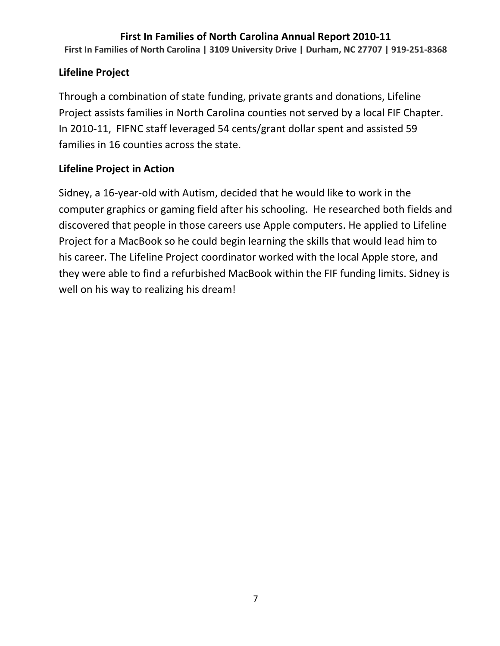**First In Families of North Carolina | 3109 University Drive | Durham, NC 27707 | 919-251-8368**

## **Lifeline Project**

Through a combination of state funding, private grants and donations, Lifeline Project assists families in North Carolina counties not served by a local FIF Chapter. In 2010-11, FIFNC staff leveraged 54 cents/grant dollar spent and assisted 59 families in 16 counties across the state.

## **Lifeline Project in Action**

Sidney, a 16-year-old with Autism, decided that he would like to work in the computer graphics or gaming field after his schooling. He researched both fields and discovered that people in those careers use Apple computers. He applied to Lifeline Project for a MacBook so he could begin learning the skills that would lead him to his career. The Lifeline Project coordinator worked with the local Apple store, and they were able to find a refurbished MacBook within the FIF funding limits. Sidney is well on his way to realizing his dream!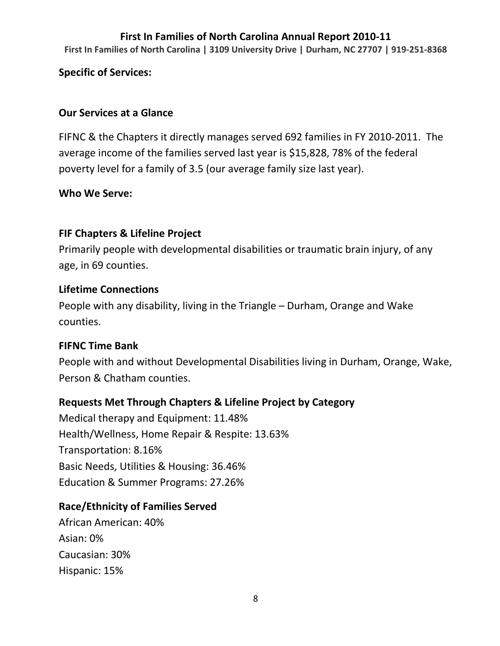**First In Families of North Carolina | 3109 University Drive | Durham, NC 27707 | 919-251-8368**

### **Specific of Services:**

#### **Our Services at a Glance**

FIFNC & the Chapters it directly manages served 692 families in FY 2010-2011. The average income of the families served last year is \$15,828, 78% of the federal poverty level for a family of 3.5 (our average family size last year).

#### **Who We Serve:**

## **FIF Chapters & Lifeline Project**

Primarily people with developmental disabilities or traumatic brain injury, of any age, in 69 counties.

#### **Lifetime Connections**

People with any disability, living in the Triangle – Durham, Orange and Wake counties.

## **FIFNC Time Bank**

People with and without Developmental Disabilities living in Durham, Orange, Wake, Person & Chatham counties.

## **Requests Met Through Chapters & Lifeline Project by Category**

Medical therapy and Equipment: 11.48% Health/Wellness, Home Repair & Respite: 13.63% Transportation: 8.16% Basic Needs, Utilities & Housing: 36.46% Education & Summer Programs: 27.26%

## **Race/Ethnicity of Families Served**

African American: 40% Asian: 0% Caucasian: 30% Hispanic: 15%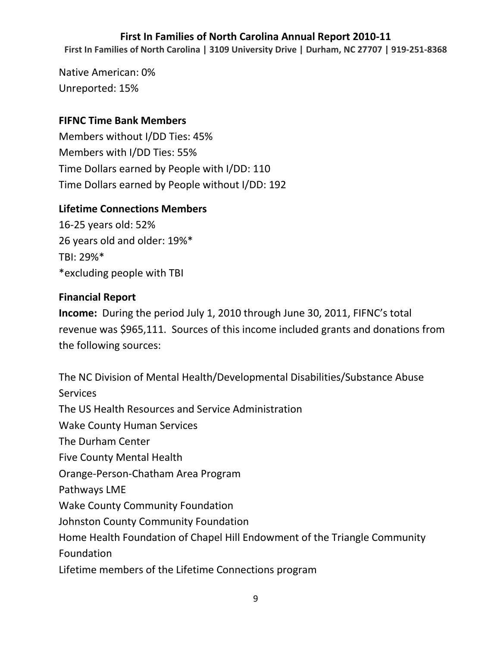**First In Families of North Carolina | 3109 University Drive | Durham, NC 27707 | 919-251-8368**

Native American: 0% Unreported: 15%

### **FIFNC Time Bank Members**

Members without I/DD Ties: 45% Members with I/DD Ties: 55% Time Dollars earned by People with I/DD: 110 Time Dollars earned by People without I/DD: 192

## **Lifetime Connections Members**

16-25 years old: 52% 26 years old and older: 19%\* TBI: 29%\* \*excluding people with TBI

## **Financial Report**

**Income:** During the period July 1, 2010 through June 30, 2011, FIFNC's total revenue was \$965,111. Sources of this income included grants and donations from the following sources:

The NC Division of Mental Health/Developmental Disabilities/Substance Abuse **Services** The US Health Resources and Service Administration Wake County Human Services The Durham Center Five County Mental Health Orange-Person-Chatham Area Program Pathways LME Wake County Community Foundation Johnston County Community Foundation Home Health Foundation of Chapel Hill Endowment of the Triangle Community Foundation Lifetime members of the Lifetime Connections program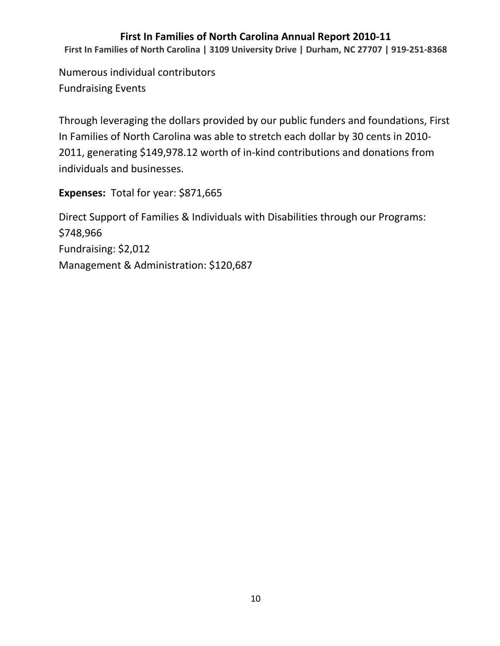**First In Families of North Carolina | 3109 University Drive | Durham, NC 27707 | 919-251-8368**

Numerous individual contributors Fundraising Events

Through leveraging the dollars provided by our public funders and foundations, First In Families of North Carolina was able to stretch each dollar by 30 cents in 2010- 2011, generating \$149,978.12 worth of in-kind contributions and donations from individuals and businesses.

**Expenses:** Total for year: \$871,665

Direct Support of Families & Individuals with Disabilities through our Programs: \$748,966 Fundraising: \$2,012 Management & Administration: \$120,687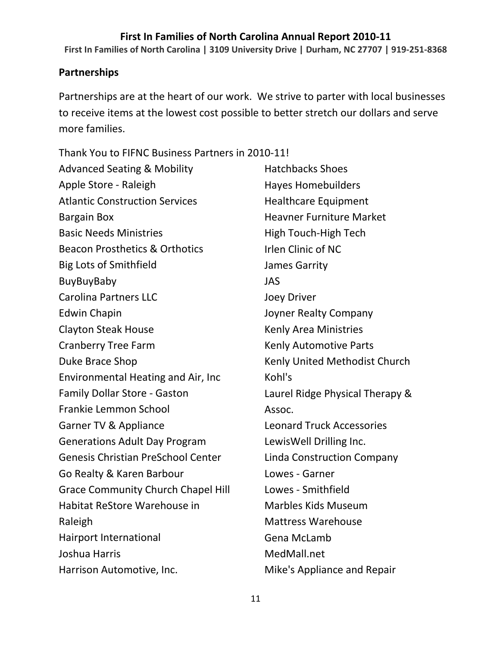**First In Families of North Carolina | 3109 University Drive | Durham, NC 27707 | 919-251-8368**

#### **Partnerships**

Partnerships are at the heart of our work. We strive to parter with local businesses to receive items at the lowest cost possible to better stretch our dollars and serve more families.

Thank You to FIFNC Business Partners in 2010-11!

Advanced Seating & Mobility Apple Store - Raleigh Atlantic Construction Services Bargain Box Basic Needs Ministries Beacon Prosthetics & Orthotics Big Lots of Smithfield BuyBuyBaby Carolina Partners LLC Edwin Chapin Clayton Steak House Cranberry Tree Farm Duke Brace Shop Environmental Heating and Air, Inc Family Dollar Store - Gaston Frankie Lemmon School Garner TV & Appliance Generations Adult Day Program Genesis Christian PreSchool Center Go Realty & Karen Barbour Grace Community Church Chapel Hill Habitat ReStore Warehouse in Raleigh Hairport International Joshua Harris Harrison Automotive, Inc. Hatchbacks Shoes Hayes Homebuilders Healthcare Equipment Heavner Furniture Market High Touch-High Tech Irlen Clinic of NC James Garrity JAS Joey Driver Joyner Realty Company Kenly Area Ministries Kenly Automotive Parts Kenly United Methodist Church Kohl's Laurel Ridge Physical Therapy & Assoc. Leonard Truck Accessories LewisWell Drilling Inc. Linda Construction Company Lowes - Garner Lowes - Smithfield Marbles Kids Museum Mattress Warehouse Gena McLamb MedMall.net Mike's Appliance and Repair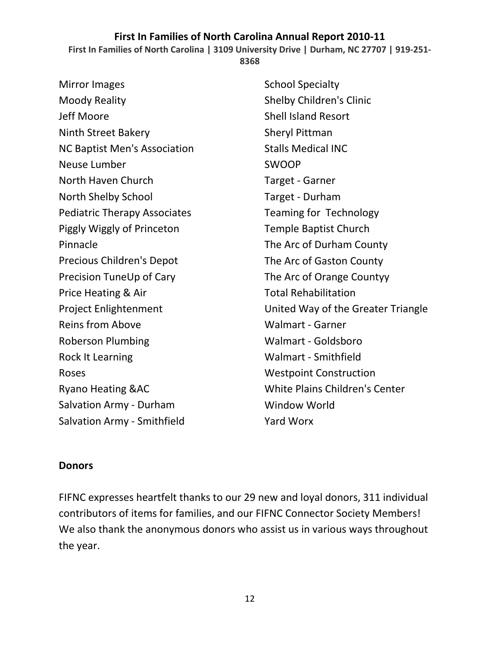**First In Families of North Carolina | 3109 University Drive | Durham, NC 27707 | 919-251-**

**8368**

Mirror Images Moody Reality Jeff Moore Ninth Street Bakery NC Baptist Men's Association Neuse Lumber North Haven Church North Shelby School Pediatric Therapy Associates Piggly Wiggly of Princeton Pinnacle Precious Children's Depot Precision TuneUp of Cary Price Heating & Air Project Enlightenment Reins from Above Roberson Plumbing Rock It Learning Roses Ryano Heating &AC Salvation Army - Durham Salvation Army - Smithfield

School Specialty Shelby Children's Clinic Shell Island Resort Sheryl Pittman Stalls Medical INC SWOOP Target - Garner Target - Durham Teaming for Technology Temple Baptist Church The Arc of Durham County The Arc of Gaston County The Arc of Orange Countyy Total Rehabilitation United Way of the Greater Triangle Walmart - Garner Walmart - Goldsboro Walmart - Smithfield Westpoint Construction White Plains Children's Center Window World Yard Worx

#### **Donors**

FIFNC expresses heartfelt thanks to our 29 new and loyal donors, 311 individual contributors of items for families, and our FIFNC Connector Society Members! We also thank the anonymous donors who assist us in various ways throughout the year.